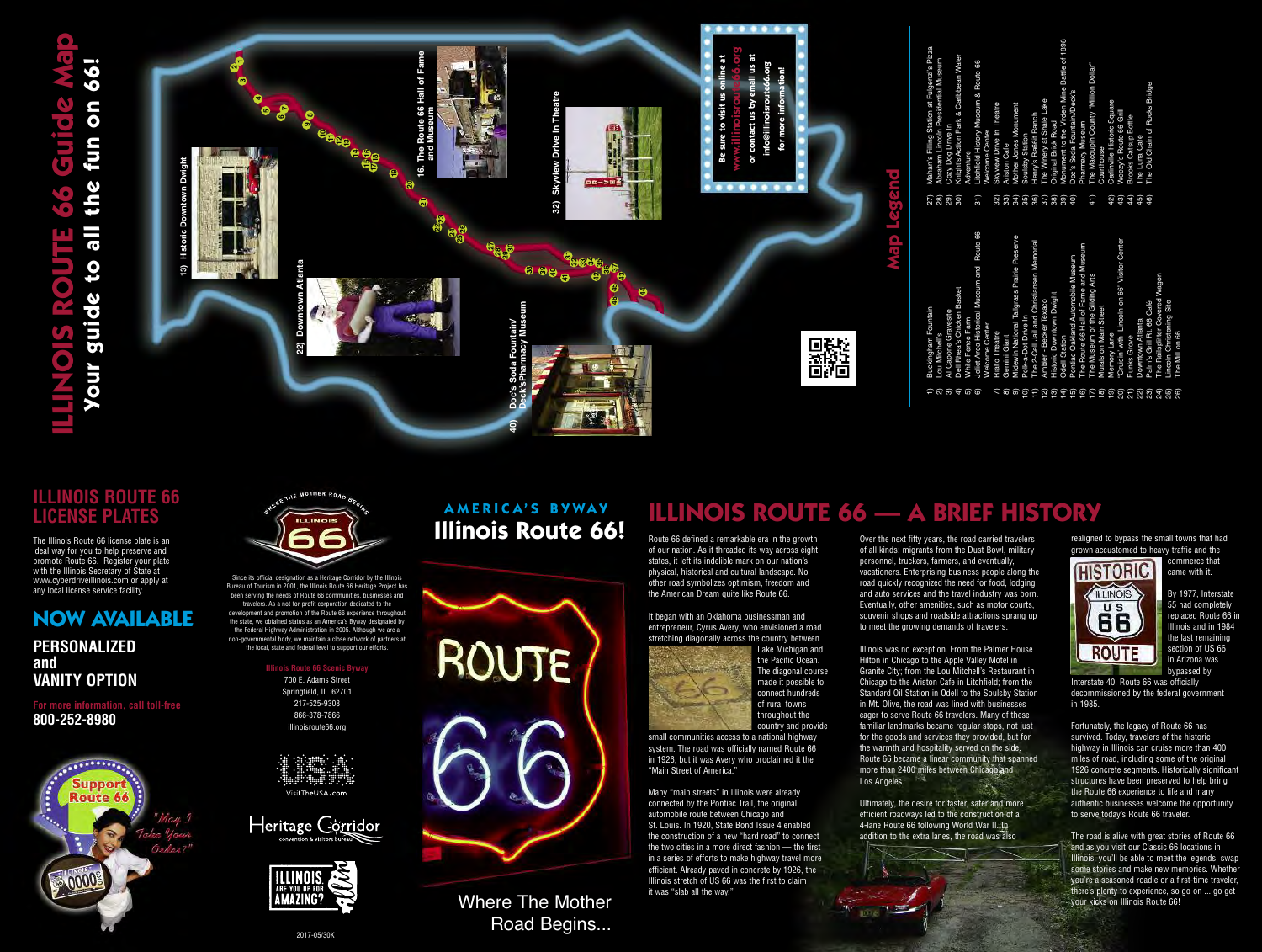Where The Mother Road Begins...

Since its official designation as a Heritage Corridor by the Illinois Bureau of Tourism in 2001, the Illinois Route 66 Heritage Project has been serving the needs of Route 66 communities, businesses and travelers. As a not-for-profit corporation dedicated to the development and promotion of the Route 66 experience throughout the state, we obtained status as an America's Byway designated by the Federal Highway Administration in 2005. Although we are a non-governmental body, we maintain a close network of partners at the local, state and federal level to support our efforts.

**Inois Route 66 Scenic Byway** 

700 E. Adams Street Springfield, IL 62701 217-525-9308 866-378-7866 illinoisroute66.org









Over the next fifty years, the road carried travelers of all kinds: migrants from the Dust Bowl, military personnel, truckers, farmers, and eventually, vacationers. Enterprising business people along the road quickly recognized the need for food, lodging and auto services and the travel industry was born. Eventually, other amenities, such as motor courts, souvenir shops and roadside attractions sprang up to meet the growing demands of travelers.

Illinois was no exception. From the Palmer House Hilton in Chicago to the Apple Valley Motel in Granite City; from the Lou Mitchell's Restaurant in Chicago to the Ariston Cafe in Litchfield; from the Standard Oil Station in Odell to the Soulsby Station in Mt. Olive, the road was lined with businesses eager to serve Route 66 travelers. Many of these familiar landmarks became regular stops, not just for the goods and services they provided, but for the warmth and hospitality served on the side. Route 66 became a linear community that spanned more than 2400 miles between Chicago and Los Angeles.

Ultimately, the desire for faster, safer and more efficient roadways led to the construction of a 4-lane Route 66 following World War II. In addition to the extra lanes, the road was also



Route 66 defined a remarkable era in the growth of our nation. As it threaded its way across eight states, it left its indelible mark on our nation's physical, historical and cultural landscape. No other road symbolizes optimism, freedom and the American Dream quite like Route 66.

It began with an Oklahoma businessman and entrepreneur, Cyrus Avery, who envisioned a road stretching diagonally across the country between



Lake Michigan and the Pacific Ocean. The diagonal course made it possible to connect hundreds of rural towns throughout the country and provide

small communities access to a national highway system. The road was officially named Route 66 in 1926, but it was Avery who proclaimed it the "Main Street of America."

27) Mahan's Filling Station at Fulgenzi's Pizza <sub>ı at Fulgenzi's F<br>idential Museur</sub> 

Many "main streets" in Illinois were already connected by the Pontiac Trail, the original automobile route between Chicago and St. Louis. In 1920, State Bond Issue 4 enabled the construction of a new "hard road" to connect the two cities in a more direct fashion — the first in a series of efforts to make highway travel more efficient. Already paved in concrete by 1926, the Illinois stretch of US 66 was the first to claim it was "slab all the way."

# **ILLINOIS ROUTE 66 Guide Map** 66! **Your guide to all the fun on 66!** on  $\overline{(\bullet)}$ **fun** the  $\overline{\bullet}$  $\overline{\mathbf{t}}$ suide  $\bullet$ **Thoy**

- 28) Abraham Lincoln Presidential Museum
- 29) Cozy Dog Drive In
- 30) Knight's Action Park & Caribbean Water Adventure
	- 31) Litchfield History Museum & Route 66 Welcome Center  $31)$ 
		- 32) Skyview Drive In Theatre
		- 33) Ariston Cafe
		- 34) Mother Jones Monument
		- 35) Soulsby Station
		- 36) Henry's Ra66it Ranch
		- 37) The Winery at Shale Lake
		- 38) Original Brick Road
- 39) Monument to the Virden Mine Battle of 1898 <u>ଅଅଥିବା ଅଧିକ ଅଧିକ ଅଧିକ ଅ</u>
	- 40) Doc's Soda Fountain//Deck's Pharmacy Museum
- 41) The Macoupin County "Million Dollar"
	- Courthouse
	- 42) Carlinville Historic Square 43) Weezy's Route 66 Grill
		- 44) Brooks Catsup Bottle
- 45) The Luna Café
- 46) The Old Chain of Rocks Bridge
- 23) Palm's Grill Rt. 66 Café 24) The Railsplitter Covered Wagon
	- 25) Lincoln Christening Site
- 26) The Mill on 66 ក្តត្ថិត ក្តត្តិក្តីដូចដូចដូច មី ប្រឹង្តី ប្រឹង្តី
- **ILLINOIS ROUTE 66 A BRIEF HISTORY**

# **ILLINOIS ROUTE 66 LICENSE PLATES**

The Illinois Route 66 license plate is an ideal way for you to help preserve and promote Route 66. Register your plate with the Illinois Secretary of State at www.cyberdriveillinois.com or apply at any local license service facility.

# **NOW AVAILABLE**

# **PERSONALIZED and VANITY OPTION**

**For more information, call toll-free 800-252-8980**





realigned to bypass the small towns that had grown accustomed to heavy traffic and the



commerce that came with it.

By 1977, Interstate 55 had completely replaced Route 66 in Illinois and in 1984 the last remaining section of US 66 in Arizona was bypassed by

Interstate 40. Route 66 was officially decommissioned by the federal government in 1985.

Fortunately, the legacy of Route 66 has survived. Today, travelers of the historic highway in Illinois can cruise more than 400 miles of road, including some of the original 1926 concrete segments. Historically significant structures have been preserved to help bring the Route 66 experience to life and many authentic businesses welcome the opportunity to serve today's Route 66 traveler.

The road is alive with great stories of Route 66 and as you visit our Classic 66 locations in Illinois, you'll be able to meet the legends, swap some stories and make new memories. Whether you're a seasoned roadie or a first-time traveler, there's plenty to experience, so go on ... go get your kicks on Illinois Route 66!

1) Buckingham Fountain

2) Lou Mitchell's

# **Illinois Route 66! A M E R I C A' S B Y WA Y**



3) Al Capone Gravesite

4) Dell Rhea's Chicken Basket

5) White Fence Farm

6) Joliet Area Historical Museum and Route 66

Welcome Center

7) Rialto Theatre 8) Gemini Giant 9) Midewin National Tallgrass Prairie Preserve

10) Polk-a-Dot Drive In

11) The 2-Cell Jail and Christiansen Memorial

12) Ambler - Becker Texaco 13) Historic Downtown Dwight

14) Odell Station

15) Pontiac Oakland Automobile Museum 16) The Route 66 Hall of Fame and Museum

17) The Museum of the Gilding Arts

18) Murals on Main Street

19) Memory Lane

20) "Cruisin' with  Lincoln on 66" Visitor Center

21) Funks Grove 22) Downtown Atlanta

# **Map Legend**

翳





2017-05/30K